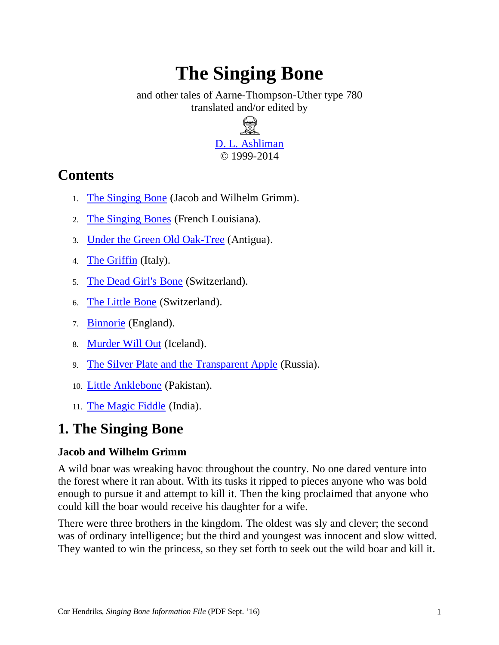# **The Singing Bone**

and other tales of Aarne-Thompson-Uther type 780 translated and/or edited by

> D. L. Ashliman © 1999-2014

## **Contents**

- 1. The Singing Bone (Jacob and Wilhelm Grimm).
- 2. The Singing Bones (French Louisiana).
- 3. Under the Green Old Oak-Tree (Antigua).
- 4. The Griffin (Italy).
- 5. The Dead Girl's Bone (Switzerland).
- 6. The Little Bone (Switzerland).
- 7. Binnorie (England).
- 8. Murder Will Out (Iceland).
- 9. The Silver Plate and the Transparent Apple (Russia).
- 10. Little Anklebone (Pakistan).
- 11. The Magic Fiddle (India).

## **1. The Singing Bone**

#### **Jacob and Wilhelm Grimm**

A wild boar was wreaking havoc throughout the country. No one dared venture into the forest where it ran about. With its tusks it ripped to pieces anyone who was bold enough to pursue it and attempt to kill it. Then the king proclaimed that anyone who could kill the boar would receive his daughter for a wife.

There were three brothers in the kingdom. The oldest was sly and clever; the second was of ordinary intelligence; but the third and youngest was innocent and slow witted. They wanted to win the princess, so they set forth to seek out the wild boar and kill it.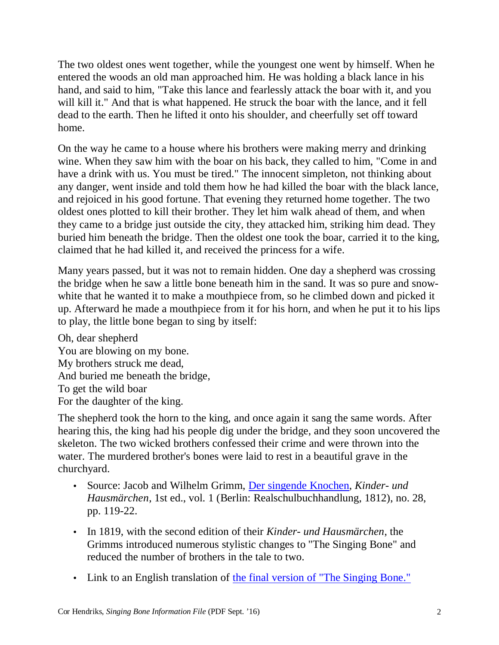The two oldest ones went together, while the youngest one went by himself. When he entered the woods an old man approached him. He was holding a black lance in his hand, and said to him, "Take this lance and fearlessly attack the boar with it, and you will kill it." And that is what happened. He struck the boar with the lance, and it fell dead to the earth. Then he lifted it onto his shoulder, and cheerfully set off toward home.

On the way he came to a house where his brothers were making merry and drinking wine. When they saw him with the boar on his back, they called to him, "Come in and have a drink with us. You must be tired." The innocent simpleton, not thinking about any danger, went inside and told them how he had killed the boar with the black lance, and rejoiced in his good fortune. That evening they returned home together. The two oldest ones plotted to kill their brother. They let him walk ahead of them, and when they came to a bridge just outside the city, they attacked him, striking him dead. They buried him beneath the bridge. Then the oldest one took the boar, carried it to the king, claimed that he had killed it, and received the princess for a wife.

Many years passed, but it was not to remain hidden. One day a shepherd was crossing the bridge when he saw a little bone beneath him in the sand. It was so pure and snowwhite that he wanted it to make a mouthpiece from, so he climbed down and picked it up. Afterward he made a mouthpiece from it for his horn, and when he put it to his lips to play, the little bone began to sing by itself:

Oh, dear shepherd You are blowing on my bone. My brothers struck me dead, And buried me beneath the bridge, To get the wild boar For the daughter of the king.

The shepherd took the horn to the king, and once again it sang the same words. After hearing this, the king had his people dig under the bridge, and they soon uncovered the skeleton. The two wicked brothers confessed their crime and were thrown into the water. The murdered brother's bones were laid to rest in a beautiful grave in the churchyard.

- Source: Jacob and Wilhelm Grimm, Der singende Knochen, *Kinder- und Hausmärchen*, 1st ed., vol. 1 (Berlin: Realschulbuchhandlung, 1812), no. 28, pp. 119-22.
- In 1819, with the second edition of their *Kinder- und Hausmärchen*, the Grimms introduced numerous stylistic changes to "The Singing Bone" and reduced the number of brothers in the tale to two.
- Link to an English translation of the final version of "The Singing Bone."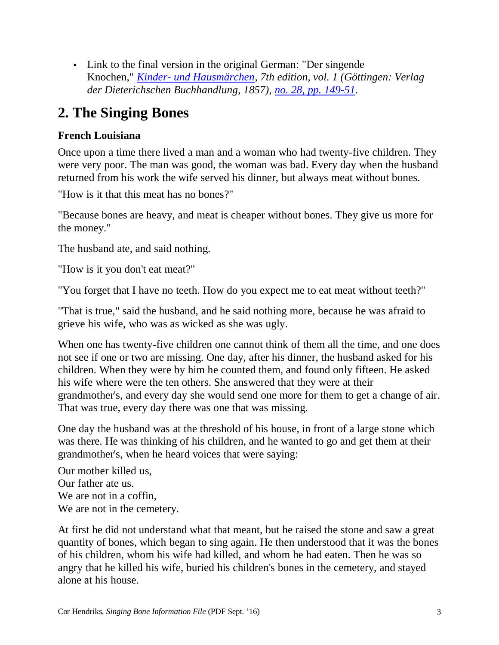• Link to the final version in the original German: "Der singende Knochen," *Kinder- und Hausmärchen, 7th edition, vol. 1 (Göttingen: Verlag der Dieterichschen Buchhandlung, 1857), no. 28, pp. 149-51.*

## **2. The Singing Bones**

#### **French Louisiana**

Once upon a time there lived a man and a woman who had twenty-five children. They were very poor. The man was good, the woman was bad. Every day when the husband returned from his work the wife served his dinner, but always meat without bones.

"How is it that this meat has no bones?"

"Because bones are heavy, and meat is cheaper without bones. They give us more for the money."

The husband ate, and said nothing.

"How is it you don't eat meat?"

"You forget that I have no teeth. How do you expect me to eat meat without teeth?"

"That is true," said the husband, and he said nothing more, because he was afraid to grieve his wife, who was as wicked as she was ugly.

When one has twenty-five children one cannot think of them all the time, and one does not see if one or two are missing. One day, after his dinner, the husband asked for his children. When they were by him he counted them, and found only fifteen. He asked his wife where were the ten others. She answered that they were at their grandmother's, and every day she would send one more for them to get a change of air. That was true, every day there was one that was missing.

One day the husband was at the threshold of his house, in front of a large stone which was there. He was thinking of his children, and he wanted to go and get them at their grandmother's, when he heard voices that were saying:

Our mother killed us, Our father ate us. We are not in a coffin. We are not in the cemetery.

At first he did not understand what that meant, but he raised the stone and saw a great quantity of bones, which began to sing again. He then understood that it was the bones of his children, whom his wife had killed, and whom he had eaten. Then he was so angry that he killed his wife, buried his children's bones in the cemetery, and stayed alone at his house.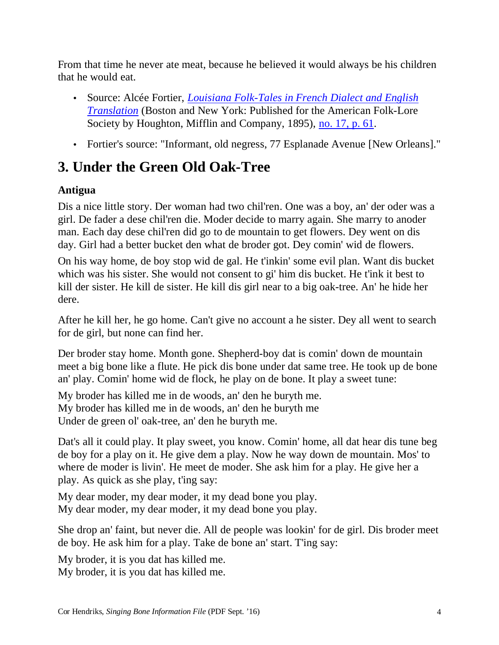From that time he never ate meat, because he believed it would always be his children that he would eat.

- Source: Alcée Fortier, *Louisiana Folk-Tales in French Dialect and English Translation* (Boston and New York: Published for the American Folk-Lore Society by Houghton, Mifflin and Company, 1895), no. 17, p. 61.
- Fortier's source: "Informant, old negress, 77 Esplanade Avenue [New Orleans]."

## **3. Under the Green Old Oak-Tree**

### **Antigua**

Dis a nice little story. Der woman had two chil'ren. One was a boy, an' der oder was a girl. De fader a dese chil'ren die. Moder decide to marry again. She marry to anoder man. Each day dese chil'ren did go to de mountain to get flowers. Dey went on dis day. Girl had a better bucket den what de broder got. Dey comin' wid de flowers.

On his way home, de boy stop wid de gal. He t'inkin' some evil plan. Want dis bucket which was his sister. She would not consent to gi' him dis bucket. He t'ink it best to kill der sister. He kill de sister. He kill dis girl near to a big oak-tree. An' he hide her dere.

After he kill her, he go home. Can't give no account a he sister. Dey all went to search for de girl, but none can find her.

Der broder stay home. Month gone. Shepherd-boy dat is comin' down de mountain meet a big bone like a flute. He pick dis bone under dat same tree. He took up de bone an' play. Comin' home wid de flock, he play on de bone. It play a sweet tune:

My broder has killed me in de woods, an' den he buryth me. My broder has killed me in de woods, an' den he buryth me Under de green ol' oak-tree, an' den he buryth me.

Dat's all it could play. It play sweet, you know. Comin' home, all dat hear dis tune beg de boy for a play on it. He give dem a play. Now he way down de mountain. Mos' to where de moder is livin'. He meet de moder. She ask him for a play. He give her a play. As quick as she play, t'ing say:

My dear moder, my dear moder, it my dead bone you play. My dear moder, my dear moder, it my dead bone you play.

She drop an' faint, but never die. All de people was lookin' for de girl. Dis broder meet de boy. He ask him for a play. Take de bone an' start. T'ing say:

My broder, it is you dat has killed me. My broder, it is you dat has killed me.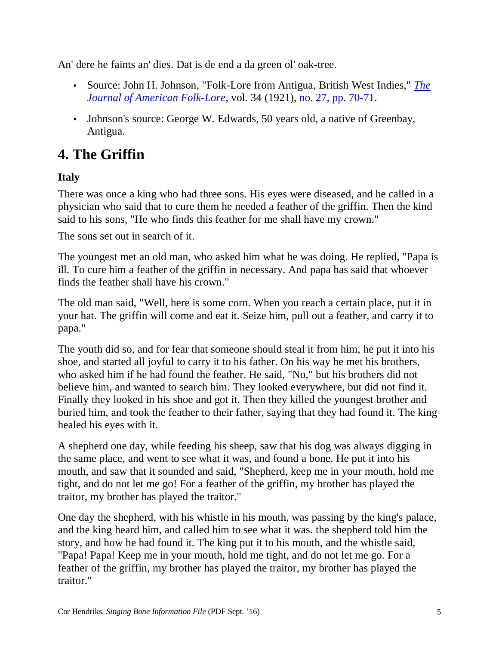An' dere he faints an' dies. Dat is de end a da green ol' oak-tree.

- Source: John H. Johnson, "Folk-Lore from Antigua, British West Indies," *The Journal of American Folk-Lore*, vol. 34 (1921), no. 27, pp. 70-71.
- Johnson's source: George W. Edwards, 50 years old, a native of Greenbay, Antigua.

# **4. The Griffin**

## **Italy**

There was once a king who had three sons. His eyes were diseased, and he called in a physician who said that to cure them he needed a feather of the griffin. Then the kind said to his sons, "He who finds this feather for me shall have my crown."

The sons set out in search of it.

The youngest met an old man, who asked him what he was doing. He replied, "Papa is ill. To cure him a feather of the griffin in necessary. And papa has said that whoever finds the feather shall have his crown."

The old man said, "Well, here is some corn. When you reach a certain place, put it in your hat. The griffin will come and eat it. Seize him, pull out a feather, and carry it to papa."

The youth did so, and for fear that someone should steal it from him, he put it into his shoe, and started all joyful to carry it to his father. On his way he met his brothers, who asked him if he had found the feather. He said, "No," but his brothers did not believe him, and wanted to search him. They looked everywhere, but did not find it. Finally they looked in his shoe and got it. Then they killed the youngest brother and buried him, and took the feather to their father, saying that they had found it. The king healed his eyes with it.

A shepherd one day, while feeding his sheep, saw that his dog was always digging in the same place, and went to see what it was, and found a bone. He put it into his mouth, and saw that it sounded and said, "Shepherd, keep me in your mouth, hold me tight, and do not let me go! For a feather of the griffin, my brother has played the traitor, my brother has played the traitor."

One day the shepherd, with his whistle in his mouth, was passing by the king's palace, and the king heard him, and called him to see what it was. the shepherd told him the story, and how he had found it. The king put it to his mouth, and the whistle said, "Papa! Papa! Keep me in your mouth, hold me tight, and do not let me go. For a feather of the griffin, my brother has played the traitor, my brother has played the traitor."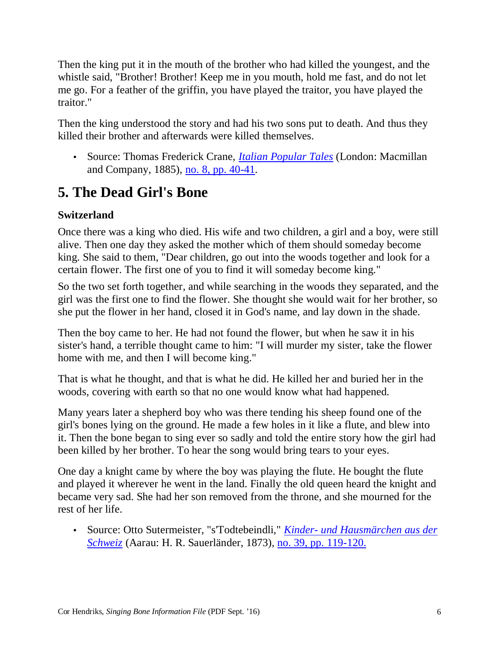Then the king put it in the mouth of the brother who had killed the youngest, and the whistle said, "Brother! Brother! Keep me in you mouth, hold me fast, and do not let me go. For a feather of the griffin, you have played the traitor, you have played the traitor."

Then the king understood the story and had his two sons put to death. And thus they killed their brother and afterwards were killed themselves.

• Source: Thomas Frederick Crane, *Italian Popular Tales* (London: Macmillan and Company, 1885), no. 8, pp. 40-41.

## **5. The Dead Girl's Bone**

### **Switzerland**

Once there was a king who died. His wife and two children, a girl and a boy, were still alive. Then one day they asked the mother which of them should someday become king. She said to them, "Dear children, go out into the woods together and look for a certain flower. The first one of you to find it will someday become king."

So the two set forth together, and while searching in the woods they separated, and the girl was the first one to find the flower. She thought she would wait for her brother, so she put the flower in her hand, closed it in God's name, and lay down in the shade.

Then the boy came to her. He had not found the flower, but when he saw it in his sister's hand, a terrible thought came to him: "I will murder my sister, take the flower home with me, and then I will become king."

That is what he thought, and that is what he did. He killed her and buried her in the woods, covering with earth so that no one would know what had happened.

Many years later a shepherd boy who was there tending his sheep found one of the girl's bones lying on the ground. He made a few holes in it like a flute, and blew into it. Then the bone began to sing ever so sadly and told the entire story how the girl had been killed by her brother. To hear the song would bring tears to your eyes.

One day a knight came by where the boy was playing the flute. He bought the flute and played it wherever he went in the land. Finally the old queen heard the knight and became very sad. She had her son removed from the throne, and she mourned for the rest of her life.

• Source: Otto Sutermeister, "s'Todtebeindli," *Kinder- und Hausmärchen aus der Schweiz* (Aarau: H. R. Sauerländer, 1873), no. 39, pp. 119-120.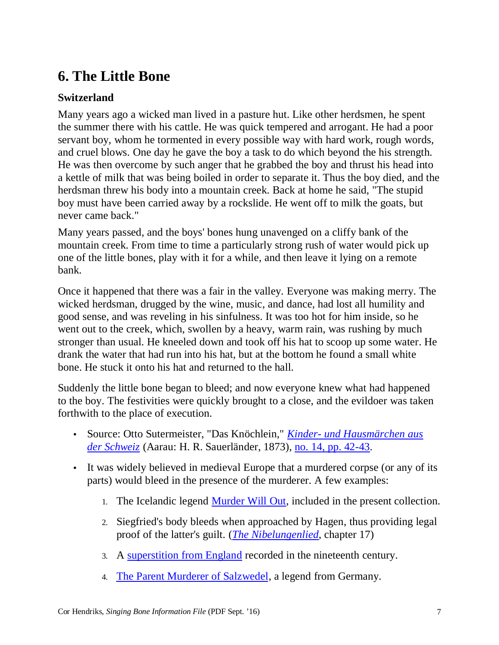## **6. The Little Bone**

### **Switzerland**

Many years ago a wicked man lived in a pasture hut. Like other herdsmen, he spent the summer there with his cattle. He was quick tempered and arrogant. He had a poor servant boy, whom he tormented in every possible way with hard work, rough words, and cruel blows. One day he gave the boy a task to do which beyond the his strength. He was then overcome by such anger that he grabbed the boy and thrust his head into a kettle of milk that was being boiled in order to separate it. Thus the boy died, and the herdsman threw his body into a mountain creek. Back at home he said, "The stupid boy must have been carried away by a rockslide. He went off to milk the goats, but never came back."

Many years passed, and the boys' bones hung unavenged on a cliffy bank of the mountain creek. From time to time a particularly strong rush of water would pick up one of the little bones, play with it for a while, and then leave it lying on a remote bank.

Once it happened that there was a fair in the valley. Everyone was making merry. The wicked herdsman, drugged by the wine, music, and dance, had lost all humility and good sense, and was reveling in his sinfulness. It was too hot for him inside, so he went out to the creek, which, swollen by a heavy, warm rain, was rushing by much stronger than usual. He kneeled down and took off his hat to scoop up some water. He drank the water that had run into his hat, but at the bottom he found a small white bone. He stuck it onto his hat and returned to the hall.

Suddenly the little bone began to bleed; and now everyone knew what had happened to the boy. The festivities were quickly brought to a close, and the evildoer was taken forthwith to the place of execution.

- Source: Otto Sutermeister, "Das Knöchlein," *Kinder- und Hausmärchen aus der Schweiz* (Aarau: H. R. Sauerländer, 1873), no. 14, pp. 42-43.
- It was widely believed in medieval Europe that a murdered corpse (or any of its parts) would bleed in the presence of the murderer. A few examples:
	- 1. The Icelandic legend Murder Will Out, included in the present collection.
	- 2. Siegfried's body bleeds when approached by Hagen, thus providing legal proof of the latter's guilt. (*The Nibelungenlied*, chapter 17)
	- 3. A superstition from England recorded in the nineteenth century.
	- 4. The Parent Murderer of Salzwedel, a legend from Germany.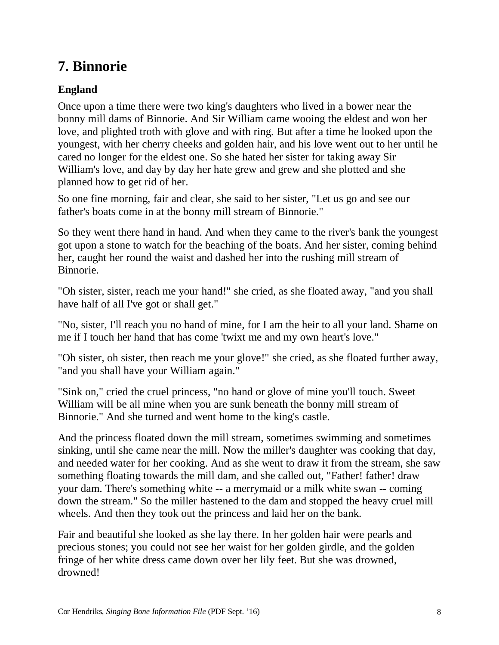## **7. Binnorie**

### **England**

Once upon a time there were two king's daughters who lived in a bower near the bonny mill dams of Binnorie. And Sir William came wooing the eldest and won her love, and plighted troth with glove and with ring. But after a time he looked upon the youngest, with her cherry cheeks and golden hair, and his love went out to her until he cared no longer for the eldest one. So she hated her sister for taking away Sir William's love, and day by day her hate grew and grew and she plotted and she planned how to get rid of her.

So one fine morning, fair and clear, she said to her sister, "Let us go and see our father's boats come in at the bonny mill stream of Binnorie."

So they went there hand in hand. And when they came to the river's bank the youngest got upon a stone to watch for the beaching of the boats. And her sister, coming behind her, caught her round the waist and dashed her into the rushing mill stream of Binnorie.

"Oh sister, sister, reach me your hand!" she cried, as she floated away, "and you shall have half of all I've got or shall get."

"No, sister, I'll reach you no hand of mine, for I am the heir to all your land. Shame on me if I touch her hand that has come 'twixt me and my own heart's love."

"Oh sister, oh sister, then reach me your glove!" she cried, as she floated further away, "and you shall have your William again."

"Sink on," cried the cruel princess, "no hand or glove of mine you'll touch. Sweet William will be all mine when you are sunk beneath the bonny mill stream of Binnorie." And she turned and went home to the king's castle.

And the princess floated down the mill stream, sometimes swimming and sometimes sinking, until she came near the mill. Now the miller's daughter was cooking that day, and needed water for her cooking. And as she went to draw it from the stream, she saw something floating towards the mill dam, and she called out, "Father! father! draw your dam. There's something white -- a merrymaid or a milk white swan -- coming down the stream." So the miller hastened to the dam and stopped the heavy cruel mill wheels. And then they took out the princess and laid her on the bank.

Fair and beautiful she looked as she lay there. In her golden hair were pearls and precious stones; you could not see her waist for her golden girdle, and the golden fringe of her white dress came down over her lily feet. But she was drowned, drowned!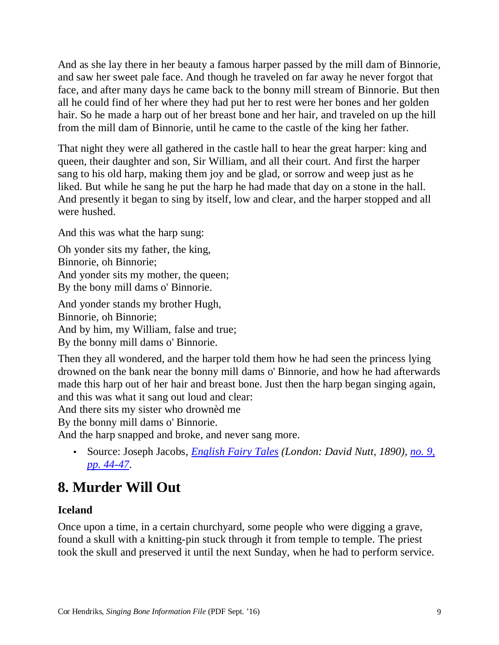And as she lay there in her beauty a famous harper passed by the mill dam of Binnorie, and saw her sweet pale face. And though he traveled on far away he never forgot that face, and after many days he came back to the bonny mill stream of Binnorie. But then all he could find of her where they had put her to rest were her bones and her golden hair. So he made a harp out of her breast bone and her hair, and traveled on up the hill from the mill dam of Binnorie, until he came to the castle of the king her father.

That night they were all gathered in the castle hall to hear the great harper: king and queen, their daughter and son, Sir William, and all their court. And first the harper sang to his old harp, making them joy and be glad, or sorrow and weep just as he liked. But while he sang he put the harp he had made that day on a stone in the hall. And presently it began to sing by itself, low and clear, and the harper stopped and all were hushed.

And this was what the harp sung:

Oh yonder sits my father, the king, Binnorie, oh Binnorie; And yonder sits my mother, the queen; By the bony mill dams o' Binnorie.

And yonder stands my brother Hugh, Binnorie, oh Binnorie; And by him, my William, false and true; By the bonny mill dams o' Binnorie.

Then they all wondered, and the harper told them how he had seen the princess lying drowned on the bank near the bonny mill dams o' Binnorie, and how he had afterwards made this harp out of her hair and breast bone. Just then the harp began singing again, and this was what it sang out loud and clear:

And there sits my sister who drownèd me

By the bonny mill dams o' Binnorie.

And the harp snapped and broke, and never sang more.

• Source: Joseph Jacobs, *English Fairy Tales (London: David Nutt, 1890), no. 9, pp. 44-47.*

## **8. Murder Will Out**

#### **Iceland**

Once upon a time, in a certain churchyard, some people who were digging a grave, found a skull with a knitting-pin stuck through it from temple to temple. The priest took the skull and preserved it until the next Sunday, when he had to perform service.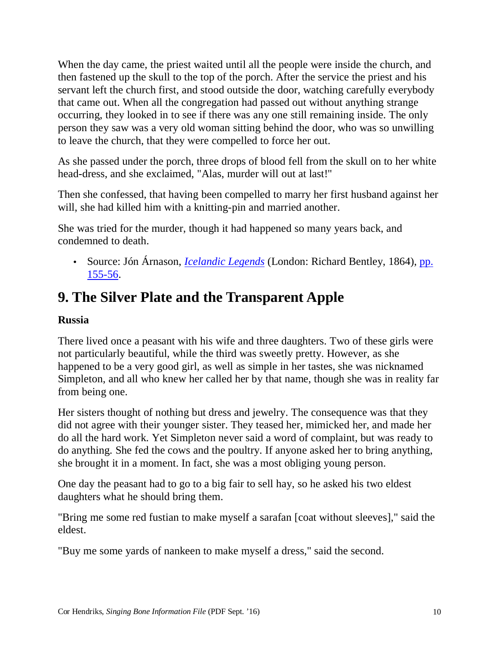When the day came, the priest waited until all the people were inside the church, and then fastened up the skull to the top of the porch. After the service the priest and his servant left the church first, and stood outside the door, watching carefully everybody that came out. When all the congregation had passed out without anything strange occurring, they looked in to see if there was any one still remaining inside. The only person they saw was a very old woman sitting behind the door, who was so unwilling to leave the church, that they were compelled to force her out.

As she passed under the porch, three drops of blood fell from the skull on to her white head-dress, and she exclaimed, "Alas, murder will out at last!"

Then she confessed, that having been compelled to marry her first husband against her will, she had killed him with a knitting-pin and married another.

She was tried for the murder, though it had happened so many years back, and condemned to death.

• Source: Jón Árnason, *Icelandic Legends* (London: Richard Bentley, 1864), pp. 155-56.

## **9. The Silver Plate and the Transparent Apple**

#### **Russia**

There lived once a peasant with his wife and three daughters. Two of these girls were not particularly beautiful, while the third was sweetly pretty. However, as she happened to be a very good girl, as well as simple in her tastes, she was nicknamed Simpleton, and all who knew her called her by that name, though she was in reality far from being one.

Her sisters thought of nothing but dress and jewelry. The consequence was that they did not agree with their younger sister. They teased her, mimicked her, and made her do all the hard work. Yet Simpleton never said a word of complaint, but was ready to do anything. She fed the cows and the poultry. If anyone asked her to bring anything, she brought it in a moment. In fact, she was a most obliging young person.

One day the peasant had to go to a big fair to sell hay, so he asked his two eldest daughters what he should bring them.

"Bring me some red fustian to make myself a sarafan [coat without sleeves]," said the eldest.

"Buy me some yards of nankeen to make myself a dress," said the second.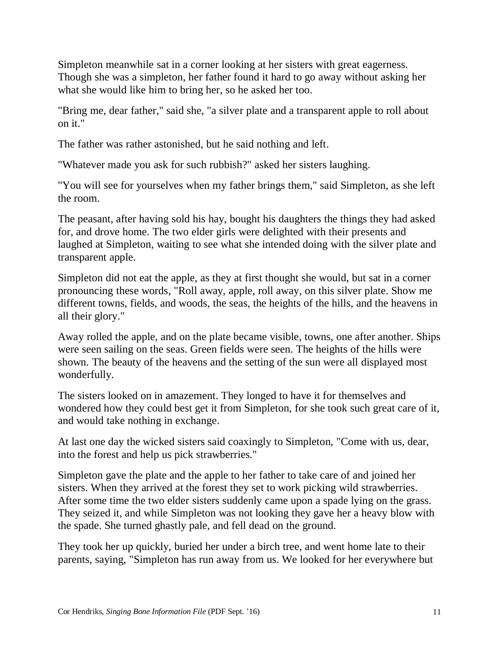Simpleton meanwhile sat in a corner looking at her sisters with great eagerness. Though she was a simpleton, her father found it hard to go away without asking her what she would like him to bring her, so he asked her too.

"Bring me, dear father," said she, "a silver plate and a transparent apple to roll about on it."

The father was rather astonished, but he said nothing and left.

"Whatever made you ask for such rubbish?" asked her sisters laughing.

"You will see for yourselves when my father brings them," said Simpleton, as she left the room.

The peasant, after having sold his hay, bought his daughters the things they had asked for, and drove home. The two elder girls were delighted with their presents and laughed at Simpleton, waiting to see what she intended doing with the silver plate and transparent apple.

Simpleton did not eat the apple, as they at first thought she would, but sat in a corner pronouncing these words, "Roll away, apple, roll away, on this silver plate. Show me different towns, fields, and woods, the seas, the heights of the hills, and the heavens in all their glory."

Away rolled the apple, and on the plate became visible, towns, one after another. Ships were seen sailing on the seas. Green fields were seen. The heights of the hills were shown. The beauty of the heavens and the setting of the sun were all displayed most wonderfully.

The sisters looked on in amazement. They longed to have it for themselves and wondered how they could best get it from Simpleton, for she took such great care of it, and would take nothing in exchange.

At last one day the wicked sisters said coaxingly to Simpleton, "Come with us, dear, into the forest and help us pick strawberries."

Simpleton gave the plate and the apple to her father to take care of and joined her sisters. When they arrived at the forest they set to work picking wild strawberries. After some time the two elder sisters suddenly came upon a spade lying on the grass. They seized it, and while Simpleton was not looking they gave her a heavy blow with the spade. She turned ghastly pale, and fell dead on the ground.

They took her up quickly, buried her under a birch tree, and went home late to their parents, saying, "Simpleton has run away from us. We looked for her everywhere but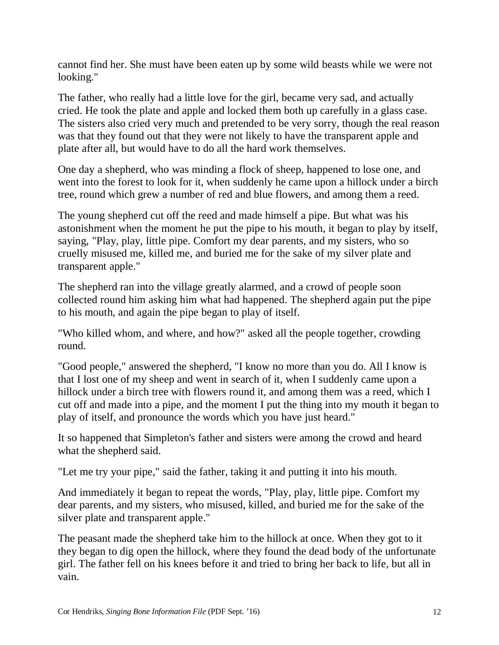cannot find her. She must have been eaten up by some wild beasts while we were not looking."

The father, who really had a little love for the girl, became very sad, and actually cried. He took the plate and apple and locked them both up carefully in a glass case. The sisters also cried very much and pretended to be very sorry, though the real reason was that they found out that they were not likely to have the transparent apple and plate after all, but would have to do all the hard work themselves.

One day a shepherd, who was minding a flock of sheep, happened to lose one, and went into the forest to look for it, when suddenly he came upon a hillock under a birch tree, round which grew a number of red and blue flowers, and among them a reed.

The young shepherd cut off the reed and made himself a pipe. But what was his astonishment when the moment he put the pipe to his mouth, it began to play by itself, saying, "Play, play, little pipe. Comfort my dear parents, and my sisters, who so cruelly misused me, killed me, and buried me for the sake of my silver plate and transparent apple."

The shepherd ran into the village greatly alarmed, and a crowd of people soon collected round him asking him what had happened. The shepherd again put the pipe to his mouth, and again the pipe began to play of itself.

"Who killed whom, and where, and how?" asked all the people together, crowding round.

"Good people," answered the shepherd, "I know no more than you do. All I know is that I lost one of my sheep and went in search of it, when I suddenly came upon a hillock under a birch tree with flowers round it, and among them was a reed, which I cut off and made into a pipe, and the moment I put the thing into my mouth it began to play of itself, and pronounce the words which you have just heard."

It so happened that Simpleton's father and sisters were among the crowd and heard what the shepherd said.

"Let me try your pipe," said the father, taking it and putting it into his mouth.

And immediately it began to repeat the words, "Play, play, little pipe. Comfort my dear parents, and my sisters, who misused, killed, and buried me for the sake of the silver plate and transparent apple."

The peasant made the shepherd take him to the hillock at once. When they got to it they began to dig open the hillock, where they found the dead body of the unfortunate girl. The father fell on his knees before it and tried to bring her back to life, but all in vain.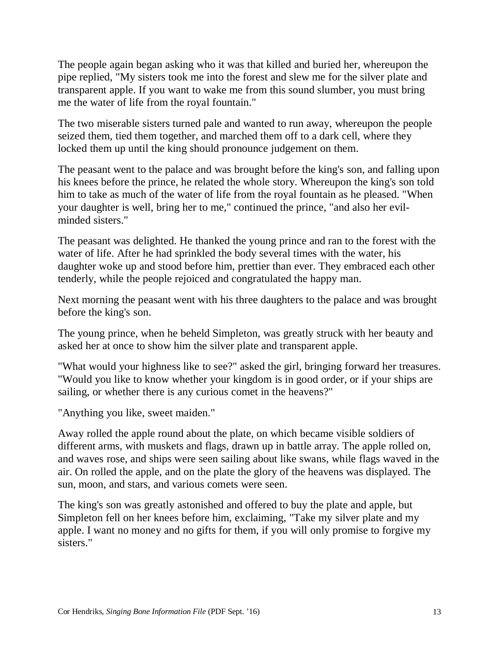The people again began asking who it was that killed and buried her, whereupon the pipe replied, "My sisters took me into the forest and slew me for the silver plate and transparent apple. If you want to wake me from this sound slumber, you must bring me the water of life from the royal fountain."

The two miserable sisters turned pale and wanted to run away, whereupon the people seized them, tied them together, and marched them off to a dark cell, where they locked them up until the king should pronounce judgement on them.

The peasant went to the palace and was brought before the king's son, and falling upon his knees before the prince, he related the whole story. Whereupon the king's son told him to take as much of the water of life from the royal fountain as he pleased. "When your daughter is well, bring her to me," continued the prince, "and also her evilminded sisters."

The peasant was delighted. He thanked the young prince and ran to the forest with the water of life. After he had sprinkled the body several times with the water, his daughter woke up and stood before him, prettier than ever. They embraced each other tenderly, while the people rejoiced and congratulated the happy man.

Next morning the peasant went with his three daughters to the palace and was brought before the king's son.

The young prince, when he beheld Simpleton, was greatly struck with her beauty and asked her at once to show him the silver plate and transparent apple.

"What would your highness like to see?" asked the girl, bringing forward her treasures. "Would you like to know whether your kingdom is in good order, or if your ships are sailing, or whether there is any curious comet in the heavens?"

"Anything you like, sweet maiden."

Away rolled the apple round about the plate, on which became visible soldiers of different arms, with muskets and flags, drawn up in battle array. The apple rolled on, and waves rose, and ships were seen sailing about like swans, while flags waved in the air. On rolled the apple, and on the plate the glory of the heavens was displayed. The sun, moon, and stars, and various comets were seen.

The king's son was greatly astonished and offered to buy the plate and apple, but Simpleton fell on her knees before him, exclaiming, "Take my silver plate and my apple. I want no money and no gifts for them, if you will only promise to forgive my sisters."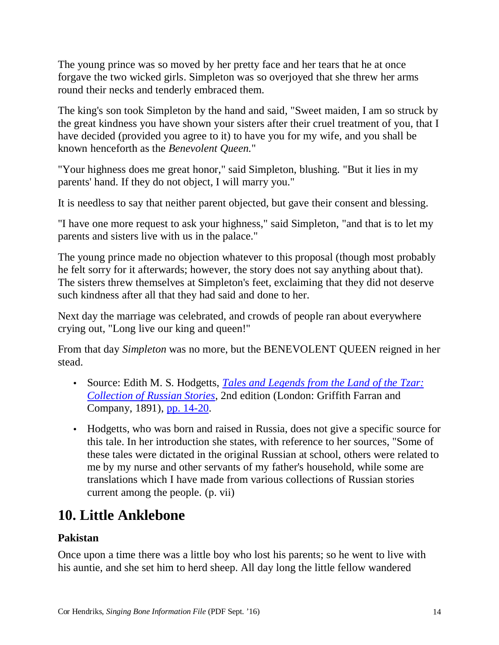The young prince was so moved by her pretty face and her tears that he at once forgave the two wicked girls. Simpleton was so overjoyed that she threw her arms round their necks and tenderly embraced them.

The king's son took Simpleton by the hand and said, "Sweet maiden, I am so struck by the great kindness you have shown your sisters after their cruel treatment of you, that I have decided (provided you agree to it) to have you for my wife, and you shall be known henceforth as the *Benevolent Queen.*"

"Your highness does me great honor," said Simpleton, blushing. "But it lies in my parents' hand. If they do not object, I will marry you."

It is needless to say that neither parent objected, but gave their consent and blessing.

"I have one more request to ask your highness," said Simpleton, "and that is to let my parents and sisters live with us in the palace."

The young prince made no objection whatever to this proposal (though most probably he felt sorry for it afterwards; however, the story does not say anything about that). The sisters threw themselves at Simpleton's feet, exclaiming that they did not deserve such kindness after all that they had said and done to her.

Next day the marriage was celebrated, and crowds of people ran about everywhere crying out, "Long live our king and queen!"

From that day *Simpleton* was no more, but the BENEVOLENT QUEEN reigned in her stead.

- Source: Edith M. S. Hodgetts, *Tales and Legends from the Land of the Tzar: Collection of Russian Stories*, 2nd edition (London: Griffith Farran and Company, 1891), pp. 14-20.
- Hodgetts, who was born and raised in Russia, does not give a specific source for this tale. In her introduction she states, with reference to her sources, "Some of these tales were dictated in the original Russian at school, others were related to me by my nurse and other servants of my father's household, while some are translations which I have made from various collections of Russian stories current among the people. (p. vii)

## **10. Little Anklebone**

#### **Pakistan**

Once upon a time there was a little boy who lost his parents; so he went to live with his auntie, and she set him to herd sheep. All day long the little fellow wandered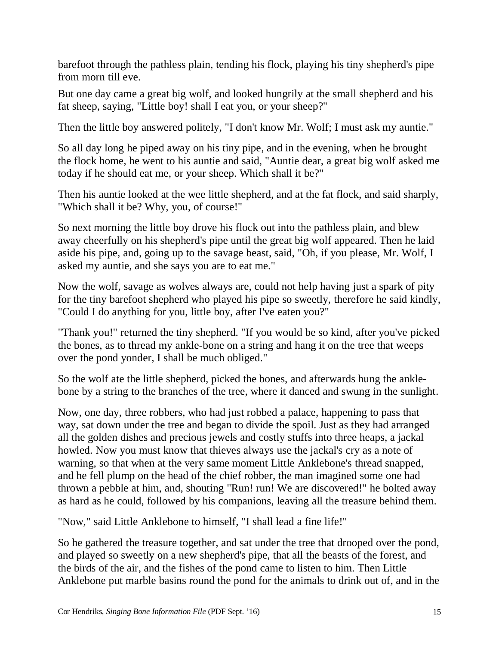barefoot through the pathless plain, tending his flock, playing his tiny shepherd's pipe from morn till eve.

But one day came a great big wolf, and looked hungrily at the small shepherd and his fat sheep, saying, "Little boy! shall I eat you, or your sheep?"

Then the little boy answered politely, "I don't know Mr. Wolf; I must ask my auntie."

So all day long he piped away on his tiny pipe, and in the evening, when he brought the flock home, he went to his auntie and said, "Auntie dear, a great big wolf asked me today if he should eat me, or your sheep. Which shall it be?"

Then his auntie looked at the wee little shepherd, and at the fat flock, and said sharply, "Which shall it be? Why, you, of course!"

So next morning the little boy drove his flock out into the pathless plain, and blew away cheerfully on his shepherd's pipe until the great big wolf appeared. Then he laid aside his pipe, and, going up to the savage beast, said, "Oh, if you please, Mr. Wolf, I asked my auntie, and she says you are to eat me."

Now the wolf, savage as wolves always are, could not help having just a spark of pity for the tiny barefoot shepherd who played his pipe so sweetly, therefore he said kindly, "Could I do anything for you, little boy, after I've eaten you?"

"Thank you!" returned the tiny shepherd. "If you would be so kind, after you've picked the bones, as to thread my ankle-bone on a string and hang it on the tree that weeps over the pond yonder, I shall be much obliged."

So the wolf ate the little shepherd, picked the bones, and afterwards hung the anklebone by a string to the branches of the tree, where it danced and swung in the sunlight.

Now, one day, three robbers, who had just robbed a palace, happening to pass that way, sat down under the tree and began to divide the spoil. Just as they had arranged all the golden dishes and precious jewels and costly stuffs into three heaps, a jackal howled. Now you must know that thieves always use the jackal's cry as a note of warning, so that when at the very same moment Little Anklebone's thread snapped, and he fell plump on the head of the chief robber, the man imagined some one had thrown a pebble at him, and, shouting "Run! run! We are discovered!" he bolted away as hard as he could, followed by his companions, leaving all the treasure behind them.

"Now," said Little Anklebone to himself, "I shall lead a fine life!"

So he gathered the treasure together, and sat under the tree that drooped over the pond, and played so sweetly on a new shepherd's pipe, that all the beasts of the forest, and the birds of the air, and the fishes of the pond came to listen to him. Then Little Anklebone put marble basins round the pond for the animals to drink out of, and in the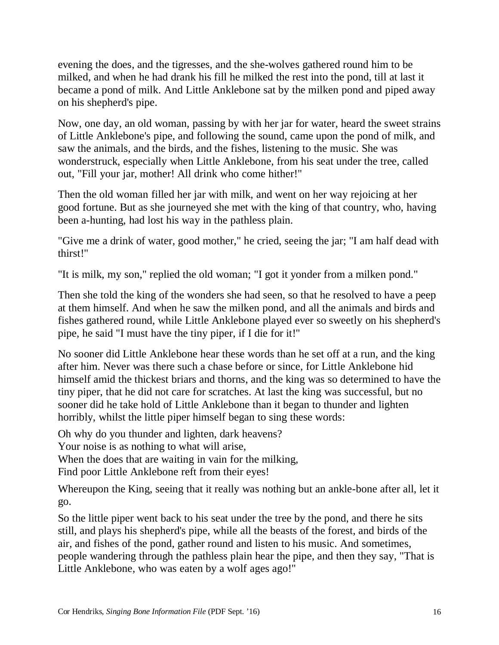evening the does, and the tigresses, and the she-wolves gathered round him to be milked, and when he had drank his fill he milked the rest into the pond, till at last it became a pond of milk. And Little Anklebone sat by the milken pond and piped away on his shepherd's pipe.

Now, one day, an old woman, passing by with her jar for water, heard the sweet strains of Little Anklebone's pipe, and following the sound, came upon the pond of milk, and saw the animals, and the birds, and the fishes, listening to the music. She was wonderstruck, especially when Little Anklebone, from his seat under the tree, called out, "Fill your jar, mother! All drink who come hither!"

Then the old woman filled her jar with milk, and went on her way rejoicing at her good fortune. But as she journeyed she met with the king of that country, who, having been a-hunting, had lost his way in the pathless plain.

"Give me a drink of water, good mother," he cried, seeing the jar; "I am half dead with thirst!"

"It is milk, my son," replied the old woman; "I got it yonder from a milken pond."

Then she told the king of the wonders she had seen, so that he resolved to have a peep at them himself. And when he saw the milken pond, and all the animals and birds and fishes gathered round, while Little Anklebone played ever so sweetly on his shepherd's pipe, he said "I must have the tiny piper, if I die for it!"

No sooner did Little Anklebone hear these words than he set off at a run, and the king after him. Never was there such a chase before or since, for Little Anklebone hid himself amid the thickest briars and thorns, and the king was so determined to have the tiny piper, that he did not care for scratches. At last the king was successful, but no sooner did he take hold of Little Anklebone than it began to thunder and lighten horribly, whilst the little piper himself began to sing these words:

Oh why do you thunder and lighten, dark heavens?

Your noise is as nothing to what will arise,

When the does that are waiting in vain for the milking,

Find poor Little Anklebone reft from their eyes!

Whereupon the King, seeing that it really was nothing but an ankle-bone after all, let it go.

So the little piper went back to his seat under the tree by the pond, and there he sits still, and plays his shepherd's pipe, while all the beasts of the forest, and birds of the air, and fishes of the pond, gather round and listen to his music. And sometimes, people wandering through the pathless plain hear the pipe, and then they say, "That is Little Anklebone, who was eaten by a wolf ages ago!"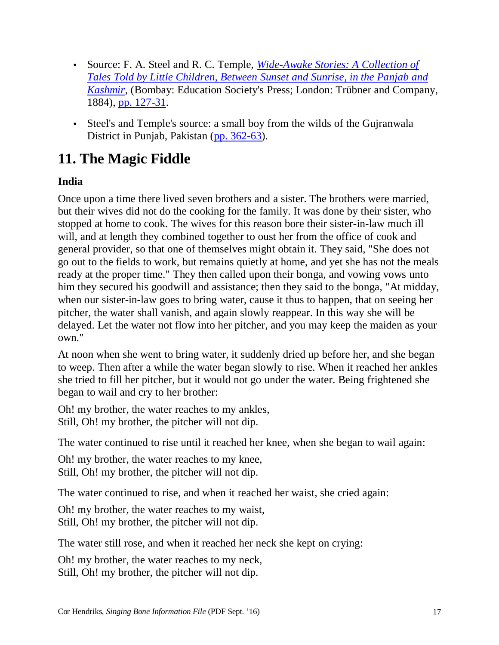- Source: F. A. Steel and R. C. Temple, *Wide-Awake Stories: A Collection of Tales Told by Little Children, Between Sunset and Sunrise, in the Panjab and Kashmir*, (Bombay: Education Society's Press; London: Trübner and Company, 1884), pp. 127-31.
- Steel's and Temple's source: a small boy from the wilds of the Gujranwala District in Punjab, Pakistan (pp. 362-63).

# **11. The Magic Fiddle**

#### **India**

Once upon a time there lived seven brothers and a sister. The brothers were married, but their wives did not do the cooking for the family. It was done by their sister, who stopped at home to cook. The wives for this reason bore their sister-in-law much ill will, and at length they combined together to oust her from the office of cook and general provider, so that one of themselves might obtain it. They said, "She does not go out to the fields to work, but remains quietly at home, and yet she has not the meals ready at the proper time." They then called upon their bonga, and vowing vows unto him they secured his goodwill and assistance; then they said to the bonga, "At midday, when our sister-in-law goes to bring water, cause it thus to happen, that on seeing her pitcher, the water shall vanish, and again slowly reappear. In this way she will be delayed. Let the water not flow into her pitcher, and you may keep the maiden as your own."

At noon when she went to bring water, it suddenly dried up before her, and she began to weep. Then after a while the water began slowly to rise. When it reached her ankles she tried to fill her pitcher, but it would not go under the water. Being frightened she began to wail and cry to her brother:

Oh! my brother, the water reaches to my ankles, Still, Oh! my brother, the pitcher will not dip.

The water continued to rise until it reached her knee, when she began to wail again:

Oh! my brother, the water reaches to my knee, Still, Oh! my brother, the pitcher will not dip.

The water continued to rise, and when it reached her waist, she cried again:

Oh! my brother, the water reaches to my waist, Still, Oh! my brother, the pitcher will not dip.

The water still rose, and when it reached her neck she kept on crying:

Oh! my brother, the water reaches to my neck, Still, Oh! my brother, the pitcher will not dip.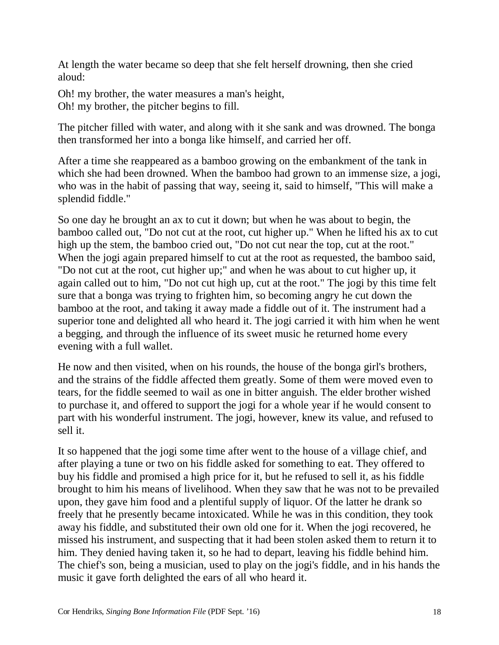At length the water became so deep that she felt herself drowning, then she cried aloud:

Oh! my brother, the water measures a man's height, Oh! my brother, the pitcher begins to fill.

The pitcher filled with water, and along with it she sank and was drowned. The bonga then transformed her into a bonga like himself, and carried her off.

After a time she reappeared as a bamboo growing on the embankment of the tank in which she had been drowned. When the bamboo had grown to an immense size, a jogi, who was in the habit of passing that way, seeing it, said to himself, "This will make a splendid fiddle."

So one day he brought an ax to cut it down; but when he was about to begin, the bamboo called out, "Do not cut at the root, cut higher up." When he lifted his ax to cut high up the stem, the bamboo cried out, "Do not cut near the top, cut at the root." When the jogi again prepared himself to cut at the root as requested, the bamboo said, "Do not cut at the root, cut higher up;" and when he was about to cut higher up, it again called out to him, "Do not cut high up, cut at the root." The jogi by this time felt sure that a bonga was trying to frighten him, so becoming angry he cut down the bamboo at the root, and taking it away made a fiddle out of it. The instrument had a superior tone and delighted all who heard it. The jogi carried it with him when he went a begging, and through the influence of its sweet music he returned home every evening with a full wallet.

He now and then visited, when on his rounds, the house of the bonga girl's brothers, and the strains of the fiddle affected them greatly. Some of them were moved even to tears, for the fiddle seemed to wail as one in bitter anguish. The elder brother wished to purchase it, and offered to support the jogi for a whole year if he would consent to part with his wonderful instrument. The jogi, however, knew its value, and refused to sell it.

It so happened that the jogi some time after went to the house of a village chief, and after playing a tune or two on his fiddle asked for something to eat. They offered to buy his fiddle and promised a high price for it, but he refused to sell it, as his fiddle brought to him his means of livelihood. When they saw that he was not to be prevailed upon, they gave him food and a plentiful supply of liquor. Of the latter he drank so freely that he presently became intoxicated. While he was in this condition, they took away his fiddle, and substituted their own old one for it. When the jogi recovered, he missed his instrument, and suspecting that it had been stolen asked them to return it to him. They denied having taken it, so he had to depart, leaving his fiddle behind him. The chief's son, being a musician, used to play on the jogi's fiddle, and in his hands the music it gave forth delighted the ears of all who heard it.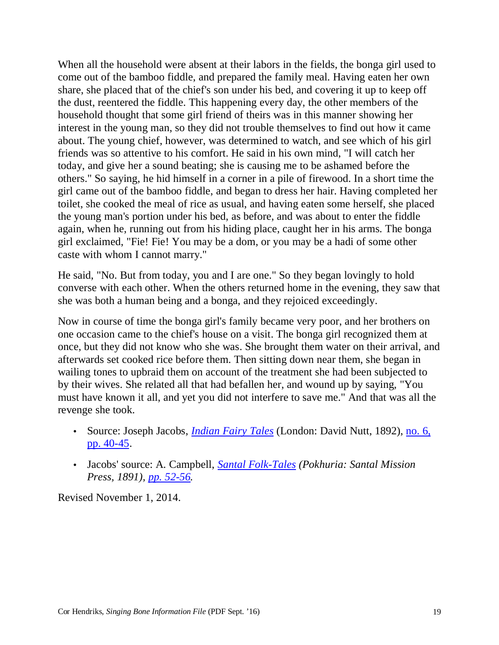When all the household were absent at their labors in the fields, the bonga girl used to come out of the bamboo fiddle, and prepared the family meal. Having eaten her own share, she placed that of the chief's son under his bed, and covering it up to keep off the dust, reentered the fiddle. This happening every day, the other members of the household thought that some girl friend of theirs was in this manner showing her interest in the young man, so they did not trouble themselves to find out how it came about. The young chief, however, was determined to watch, and see which of his girl friends was so attentive to his comfort. He said in his own mind, "I will catch her today, and give her a sound beating; she is causing me to be ashamed before the others." So saying, he hid himself in a corner in a pile of firewood. In a short time the girl came out of the bamboo fiddle, and began to dress her hair. Having completed her toilet, she cooked the meal of rice as usual, and having eaten some herself, she placed the young man's portion under his bed, as before, and was about to enter the fiddle again, when he, running out from his hiding place, caught her in his arms. The bonga girl exclaimed, "Fie! Fie! You may be a dom, or you may be a hadi of some other caste with whom I cannot marry."

He said, "No. But from today, you and I are one." So they began lovingly to hold converse with each other. When the others returned home in the evening, they saw that she was both a human being and a bonga, and they rejoiced exceedingly.

Now in course of time the bonga girl's family became very poor, and her brothers on one occasion came to the chief's house on a visit. The bonga girl recognized them at once, but they did not know who she was. She brought them water on their arrival, and afterwards set cooked rice before them. Then sitting down near them, she began in wailing tones to upbraid them on account of the treatment she had been subjected to by their wives. She related all that had befallen her, and wound up by saying, "You must have known it all, and yet you did not interfere to save me." And that was all the revenge she took.

- Source: Joseph Jacobs, *Indian Fairy Tales* (London: David Nutt, 1892), no. 6, pp. 40-45.
- Jacobs' source: A. Campbell, *Santal Folk-Tales (Pokhuria: Santal Mission Press, 1891), pp. 52-56.*

Revised November 1, 2014.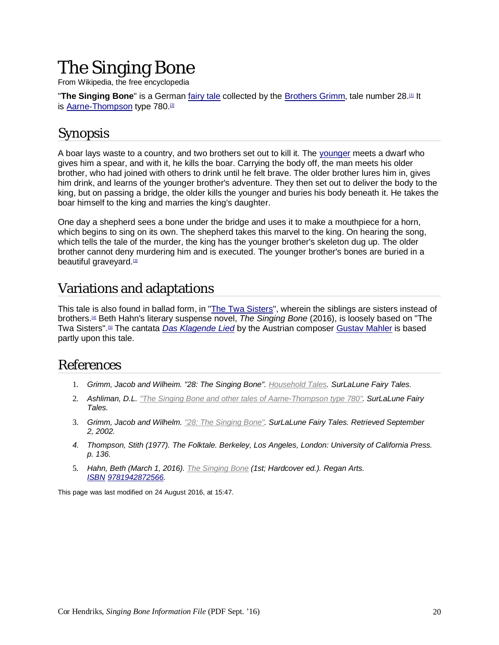# The Singing Bone

From Wikipedia, the free encyclopedia

"**The Singing Bone**" is a German fairy tale collected by the Brothers Grimm, tale number 28.[1] It is Aarne-Thompson type 780.<sup>[2]</sup>

## Synopsis

A boar lays waste to a country, and two brothers set out to kill it. The younger meets a dwarf who gives him a spear, and with it, he kills the boar. Carrying the body off, the man meets his older brother, who had joined with others to drink until he felt brave. The older brother lures him in, gives him drink, and learns of the younger brother's adventure. They then set out to deliver the body to the king, but on passing a bridge, the older kills the younger and buries his body beneath it. He takes the boar himself to the king and marries the king's daughter.

One day a shepherd sees a bone under the bridge and uses it to make a mouthpiece for a horn, which begins to sing on its own. The shepherd takes this marvel to the king. On hearing the song, which tells the tale of the murder, the king has the younger brother's skeleton dug up. The older brother cannot deny murdering him and is executed. The younger brother's bones are buried in a beautiful graveyard.<sup>[3]</sup>

## Variations and adaptations

This tale is also found in ballad form, in "The Twa Sisters", wherein the siblings are sisters instead of brothers.[4] Beth Hahn's literary suspense novel, *The Singing Bone* (2016), is loosely based on "The Twa Sisters".[5] The cantata *Das Klagende Lied* by the Austrian composer Gustav Mahler is based partly upon this tale.

## References

- 1. *Grimm, Jacob and Wilheim. "28: The Singing Bone". Household Tales. SurLaLune Fairy Tales.*
- 2. *Ashliman, D.L. "The Singing Bone and other tales of Aarne-Thompson type 780". SurLaLune Fairy Tales.*
- 3. *Grimm, Jacob and Wilhelm. "28: The Singing Bone". SurLaLune Fairy Tales. Retrieved September 2, 2002.*
- *4. Thompson, Stith (1977). The Folktale. Berkeley, Los Angeles, London: University of California Press. p. 136.*
- 5. *Hahn, Beth (March 1, 2016). The Singing Bone (1st; Hardcover ed.). Regan Arts. ISBN 9781942872566.*

This page was last modified on 24 August 2016, at 15:47.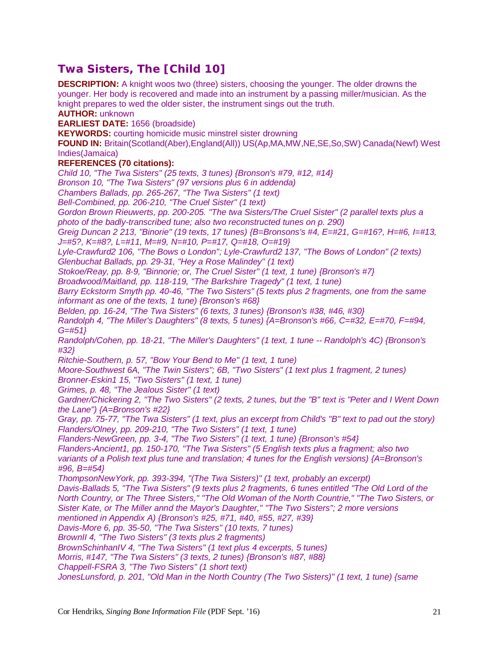### **Twa Sisters, The [Child 10]**

**DESCRIPTION:** A knight woos two (three) sisters, choosing the younger. The older drowns the younger. Her body is recovered and made into an instrument by a passing miller/musician. As the knight prepares to wed the older sister, the instrument sings out the truth. **AUTHOR:** unknown **EARLIEST DATE:** 1656 (broadside) **KEYWORDS:** courting homicide music minstrel sister drowning **FOUND IN:** Britain(Scotland(Aber),England(All)) US(Ap,MA,MW,NE,SE,So,SW) Canada(Newf) West Indies(Jamaica) **REFERENCES (70 citations):** *Child 10, "The Twa Sisters" (25 texts, 3 tunes) {Bronson's #79, #12, #14} Bronson 10, "The Twa Sisters" (97 versions plus 6 in addenda) Chambers Ballads, pp. 265-267, "The Twa Sisters" (1 text) Bell-Combined, pp. 206-210, "The Cruel Sister" (1 text) Gordon Brown Rieuwerts, pp. 200-205. "The twa Sisters/The Cruel Sister" (2 parallel texts plus a photo of the badly-transcribed tune; also two reconstructed tunes on p. 290) Greig Duncan 2 213, "Binorie" (19 texts, 17 tunes) {B=Bronsons's #4, E=#21, G=#16?, H=#6, I=#13, J=#5?, K=#8?, L=#11, M=#9, N=#10, P=#17, Q=#18, O=#19} Lyle-Crawfurd2 106, "The Bows o London"; Lyle-Crawfurd2 137, "The Bows of London" (2 texts) Glenbuchat Ballads, pp. 29-31, "Hey a Rose Malindey" (1 text) Stokoe/Reay, pp. 8-9, "Binnorie; or, The Cruel Sister" (1 text, 1 tune) {Bronson's #7} Broadwood/Maitland, pp. 118-119, "The Barkshire Tragedy" (1 text, 1 tune) Barry Eckstorm Smyth pp. 40-46, "The Two Sisters" (5 texts plus 2 fragments, one from the same informant as one of the texts, 1 tune) {Bronson's #68} Belden, pp. 16-24, "The Twa Sisters" (6 texts, 3 tunes) {Bronson's #38, #46, #30} Randolph 4, "The Miller's Daughters" (8 texts, 5 tunes) {A=Bronson's #66, C=#32, E=#70, F=#94, G=#51} Randolph/Cohen, pp. 18-21, "The Miller's Daughters" (1 text, 1 tune -- Randolph's 4C) {Bronson's #32} Ritchie-Southern, p. 57, "Bow Your Bend to Me" (1 text, 1 tune) Moore-Southwest 6A, "The Twin Sisters"; 6B, "Two Sisters" (1 text plus 1 fragment, 2 tunes) Bronner-Eskin1 15, "Two Sisters" (1 text, 1 tune) Grimes, p. 48, "The Jealous Sister" (1 text) Gardner/Chickering 2, "The Two Sisters" (2 texts, 2 tunes, but the "B" text is "Peter and I Went Down the Lane") {A=Bronson's #22} Gray, pp. 75-77, "The Twa Sisters" (1 text, plus an excerpt from Child's "B" text to pad out the story) Flanders/Olney, pp. 209-210, "The Two Sisters" (1 text, 1 tune) Flanders-NewGreen, pp. 3-4, "The Two Sisters" (1 text, 1 tune) {Bronson's #54} Flanders-Ancient1, pp. 150-170, "The Twa Sisters" (5 English texts plus a fragment; also two variants of a Polish text plus tune and translation; 4 tunes for the English versions) {A=Bronson's #96, B=#54} ThompsonNewYork, pp. 393-394, "(The Twa Sisters)" (1 text, probably an excerpt) Davis-Ballads 5, "The Twa Sisters" (9 texts plus 2 fragments, 6 tunes entitled "The Old Lord of the North Country, or The Three Sisters," "The Old Woman of the North Countrie," "The Two Sisters, or Sister Kate, or The Miller annd the Mayor's Daughter," "The Two Sisters"; 2 more versions mentioned in Appendix A) {Bronson's #25, #71, #40, #55, #27, #39} Davis-More 6, pp. 35-50, "The Twa Sisters" (10 texts, 7 tunes) BrownII 4, "The Two Sisters" (3 texts plus 2 fragments) BrownSchinhanIV 4, "The Twa Sisters" (1 text plus 4 excerpts, 5 tunes) Morris, #147, "The Twa Sisters" (3 texts, 2 tunes) {Bronson's #87, #88} Chappell-FSRA 3, "The Two Sisters" (1 short text) JonesLunsford, p. 201, "Old Man in the North Country (The Two Sisters)" (1 text, 1 tune) {same*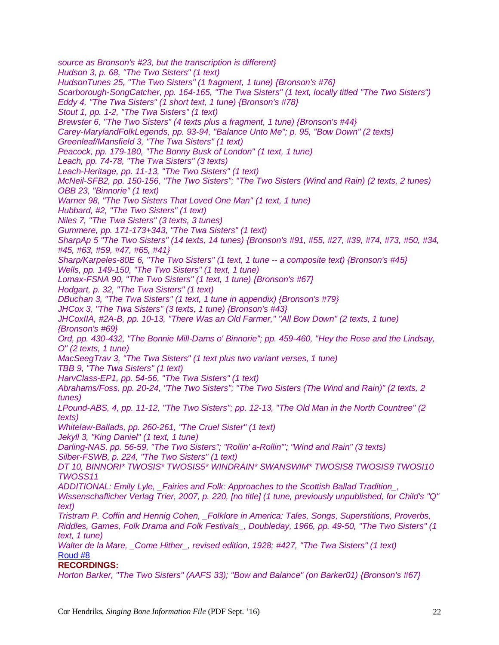*source as Bronson's #23, but the transcription is different} Hudson 3, p. 68, "The Two Sisters" (1 text) HudsonTunes 25, "The Two Sisters" (1 fragment, 1 tune) {Bronson's #76} Scarborough-SongCatcher, pp. 164-165, "The Twa Sisters" (1 text, locally titled "The Two Sisters") Eddy 4, "The Twa Sisters" (1 short text, 1 tune) {Bronson's #78} Stout 1, pp. 1-2, "The Twa Sisters" (1 text) Brewster 6, "The Two Sisters" (4 texts plus a fragment, 1 tune) {Bronson's #44} Carey-MarylandFolkLegends, pp. 93-94, "Balance Unto Me"; p. 95, "Bow Down" (2 texts) Greenleaf/Mansfield 3, "The Twa Sisters" (1 text) Peacock, pp. 179-180, "The Bonny Busk of London" (1 text, 1 tune) Leach, pp. 74-78, "The Twa Sisters" (3 texts) Leach-Heritage, pp. 11-13, "The Two Sisters" (1 text) McNeil-SFB2, pp. 150-156, "The Two Sisters"; "The Two Sisters (Wind and Rain) (2 texts, 2 tunes) OBB 23, "Binnorie" (1 text) Warner 98, "The Two Sisters That Loved One Man" (1 text, 1 tune) Hubbard, #2, "The Two Sisters" (1 text) Niles 7, "The Twa Sisters" (3 texts, 3 tunes) Gummere, pp. 171-173+343, "The Twa Sisters" (1 text) SharpAp 5 "The Two Sisters" (14 texts, 14 tunes) {Bronson's #91, #55, #27, #39, #74, #73, #50, #34, #45, #63, #59, #47, #65, #41} Sharp/Karpeles-80E 6, "The Two Sisters" (1 text, 1 tune -- a composite text) {Bronson's #45} Wells, pp. 149-150, "The Two Sisters" (1 text, 1 tune) Lomax-FSNA 90, "The Two Sisters" (1 text, 1 tune) {Bronson's #67} Hodgart, p. 32, "The Twa Sisters" (1 text) DBuchan 3, "The Twa Sisters" (1 text, 1 tune in appendix) {Bronson's #79} JHCox 3, "The Twa Sisters" (3 texts, 1 tune) {Bronson's #43} JHCoxIIA, #2A-B, pp. 10-13, "There Was an Old Farmer," "All Bow Down" (2 texts, 1 tune) {Bronson's #69} Ord, pp. 430-432, "The Bonnie Mill-Dams o' Binnorie"; pp. 459-460, "Hey the Rose and the Lindsay, O" (2 texts, 1 tune) MacSeegTrav 3, "The Twa Sisters" (1 text plus two variant verses, 1 tune) TBB 9, "The Twa Sisters" (1 text) HarvClass-EP1, pp. 54-56, "The Twa Sisters" (1 text) Abrahams/Foss, pp. 20-24, "The Two Sisters"; "The Two Sisters (The Wind and Rain)" (2 texts, 2 tunes) LPound-ABS, 4, pp. 11-12, "The Two Sisters"; pp. 12-13, "The Old Man in the North Countree" (2 texts) Whitelaw-Ballads, pp. 260-261, "The Cruel Sister" (1 text) Jekyll 3, "King Daniel" (1 text, 1 tune) Darling-NAS, pp. 56-59, "The Two Sisters"; "Rollin' a-Rollin'"; "Wind and Rain" (3 texts) Silber-FSWB, p. 224, "The Two Sisters" (1 text) DT 10, BINNORI\* TWOSIS\* TWOSIS5\* WINDRAIN\* SWANSWIM\* TWOSIS8 TWOSIS9 TWOSI10 TWOSS11 ADDITIONAL: Emily Lyle, \_Fairies and Folk: Approaches to the Scottish Ballad Tradition\_, Wissenschaflicher Verlag Trier, 2007, p. 220, [no title] (1 tune, previously unpublished, for Child's "Q" text) Tristram P. Coffin and Hennig Cohen, \_Folklore in America: Tales, Songs, Superstitions, Proverbs, Riddles, Games, Folk Drama and Folk Festivals\_, Doubleday, 1966, pp. 49-50, "The Two Sisters" (1 text, 1 tune) Walter de la Mare, \_Come Hither\_, revised edition, 1928; #427, "The Twa Sisters" (1 text)* Roud #8 **RECORDINGS:** *Horton Barker, "The Two Sisters" (AAFS 33); "Bow and Balance" (on Barker01) {Bronson's #67}*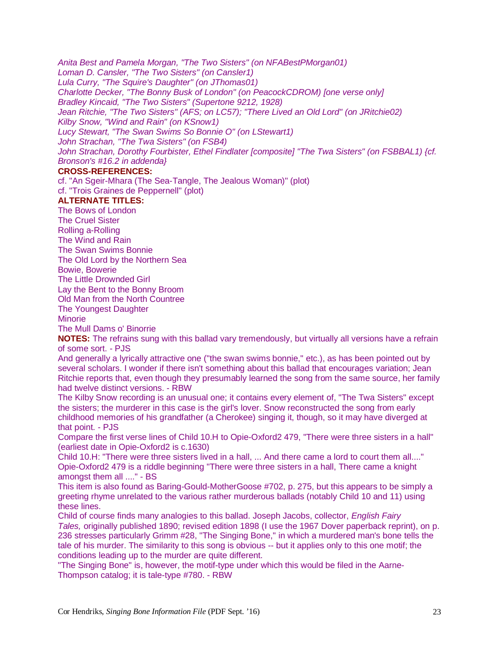*Anita Best and Pamela Morgan, "The Two Sisters" (on NFABestPMorgan01) Loman D. Cansler, "The Two Sisters" (on Cansler1) Lula Curry, "The Squire's Daughter" (on JThomas01) Charlotte Decker, "The Bonny Busk of London" (on PeacockCDROM) [one verse only] Bradley Kincaid, "The Two Sisters" (Supertone 9212, 1928) Jean Ritchie, "The Two Sisters" (AFS; on LC57); "There Lived an Old Lord" (on JRitchie02) Kilby Snow, "Wind and Rain" (on KSnow1) Lucy Stewart, "The Swan Swims So Bonnie O" (on LStewart1) John Strachan, "The Twa Sisters" (on FSB4) John Strachan, Dorothy Fourbister, Ethel Findlater [composite] "The Twa Sisters" (on FSBBAL1) {cf. Bronson's #16.2 in addenda}*

#### **CROSS-REFERENCES:**

cf. "An Sgeir-Mhara (The Sea-Tangle, The Jealous Woman)" (plot) cf. "Trois Graines de Peppernell" (plot)

#### **ALTERNATE TITLES:**

The Bows of London The Cruel Sister Rolling a-Rolling The Wind and Rain The Swan Swims Bonnie The Old Lord by the Northern Sea Bowie, Bowerie The Little Drownded Girl Lay the Bent to the Bonny Broom Old Man from the North Countree The Youngest Daughter

Minorie

The Mull Dams o' Binorrie

**NOTES:** The refrains sung with this ballad vary tremendously, but virtually all versions have a refrain of some sort. - PJS

And generally a lyrically attractive one ("the swan swims bonnie," etc.), as has been pointed out by several scholars. I wonder if there isn't something about this ballad that encourages variation; Jean Ritchie reports that, even though they presumably learned the song from the same source, her family had twelve distinct versions. - RBW

The Kilby Snow recording is an unusual one; it contains every element of, "The Twa Sisters" except the sisters; the murderer in this case is the girl's lover. Snow reconstructed the song from early childhood memories of his grandfather (a Cherokee) singing it, though, so it may have diverged at that point. - PJS

Compare the first verse lines of Child 10.H to Opie-Oxford2 479, "There were three sisters in a hall" (earliest date in Opie-Oxford2 is c.1630)

Child 10.H: "There were three sisters lived in a hall, ... And there came a lord to court them all...." Opie-Oxford2 479 is a riddle beginning "There were three sisters in a hall, There came a knight amongst them all ...." - BS

This item is also found as Baring-Gould-MotherGoose #702, p. 275, but this appears to be simply a greeting rhyme unrelated to the various rather murderous ballads (notably Child 10 and 11) using these lines.

Child of course finds many analogies to this ballad. Joseph Jacobs, collector, *English Fairy Tales,* originally published 1890; revised edition 1898 (I use the 1967 Dover paperback reprint), on p. 236 stresses particularly Grimm #28, "The Singing Bone," in which a murdered man's bone tells the tale of his murder. The similarity to this song is obvious -- but it applies only to this one motif; the conditions leading up to the murder are quite different.

"The Singing Bone" is, however, the motif-type under which this would be filed in the Aarne-Thompson catalog; it is tale-type #780. - RBW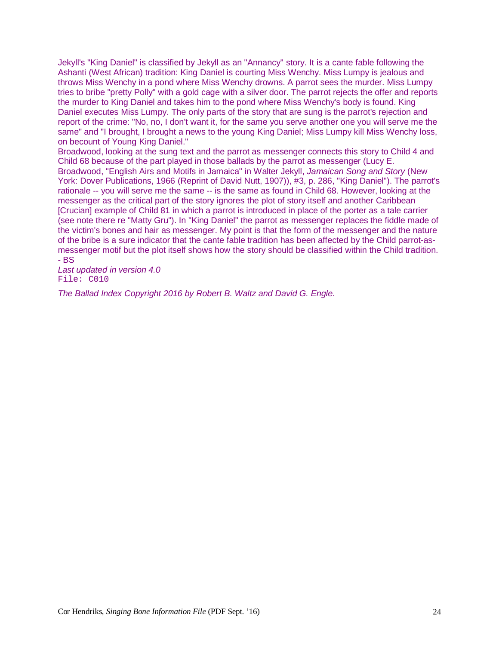Jekyll's "King Daniel" is classified by Jekyll as an "Annancy" story. It is a cante fable following the Ashanti (West African) tradition: King Daniel is courting Miss Wenchy. Miss Lumpy is jealous and throws Miss Wenchy in a pond where Miss Wenchy drowns. A parrot sees the murder. Miss Lumpy tries to bribe "pretty Polly" with a gold cage with a silver door. The parrot rejects the offer and reports the murder to King Daniel and takes him to the pond where Miss Wenchy's body is found. King Daniel executes Miss Lumpy. The only parts of the story that are sung is the parrot's rejection and report of the crime: "No, no, I don't want it, for the same you serve another one you will serve me the same" and "I brought, I brought a news to the young King Daniel; Miss Lumpy kill Miss Wenchy loss, on becount of Young King Daniel."

Broadwood, looking at the sung text and the parrot as messenger connects this story to Child 4 and Child 68 because of the part played in those ballads by the parrot as messenger (Lucy E. Broadwood, "English Airs and Motifs in Jamaica" in Walter Jekyll, *Jamaican Song and Story* (New York: Dover Publications, 1966 (Reprint of David Nutt, 1907)), #3, p. 286, "King Daniel"). The parrot's rationale -- you will serve me the same -- is the same as found in Child 68. However, looking at the messenger as the critical part of the story ignores the plot of story itself and another Caribbean [Crucian] example of Child 81 in which a parrot is introduced in place of the porter as a tale carrier (see note there re "Matty Gru"). In "King Daniel" the parrot as messenger replaces the fiddle made of the victim's bones and hair as messenger. My point is that the form of the messenger and the nature of the bribe is a sure indicator that the cante fable tradition has been affected by the Child parrot-asmessenger motif but the plot itself shows how the story should be classified within the Child tradition. - BS

*Last updated in version 4.0* File: C010

*The Ballad Index Copyright 2016 by Robert B. Waltz and David G. Engle.*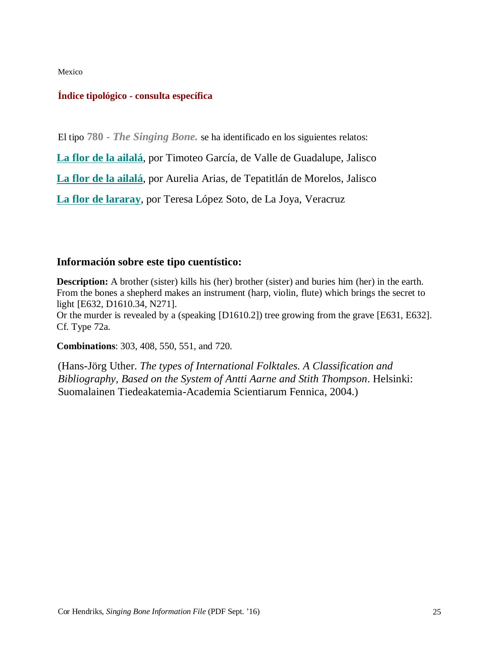Mexico

#### **Índice tipológico - consulta específica**

El tipo **780 -** *The Singing Bone.* se ha identificado en los siguientes relatos:

**La flor de la ailalá**, por Timoteo García, de Valle de Guadalupe, Jalisco

**La flor de la ailalá**, por Aurelia Arias, de Tepatitlán de Morelos, Jalisco

**La flor de lararay**, por Teresa López Soto, de La Joya, Veracruz

#### **Información sobre este tipo cuentístico:**

**Description:** A brother (sister) kills his (her) brother (sister) and buries him (her) in the earth. From the bones a shepherd makes an instrument (harp, violin, flute) which brings the secret to light [E632, D1610.34, N271].

Or the murder is revealed by a (speaking [D1610.2]) tree growing from the grave [E631, E632]. Cf. Type 72a.

**Combinations**: 303, 408, 550, 551, and 720.

(Hans-Jörg Uther. *The types of International Folktales. A Classification and Bibliography, Based on the System of Antti Aarne and Stith Thompson*. Helsinki: Suomalainen Tiedeakatemia-Academia Scientiarum Fennica, 2004.)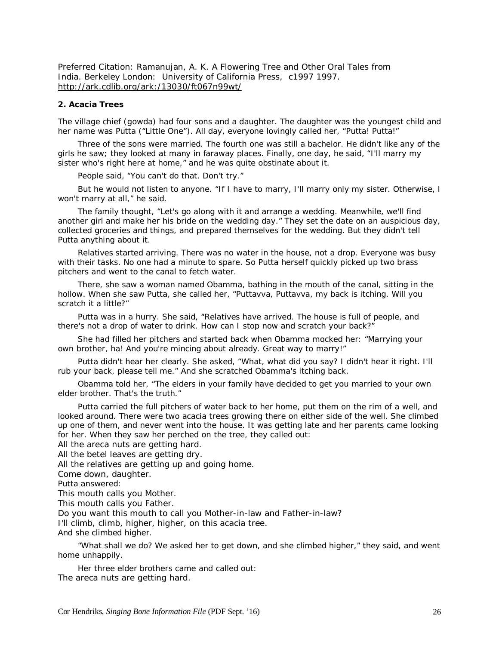Preferred Citation: Ramanujan, A. K. *A Flowering Tree and Other Oral Tales from India.* Berkeley London: University of California Press, c1997 1997. <http://ark.cdlib.org/ark:/13030/ft067n99wt/>

#### **2. Acacia Trees**

The village chief (*gowda*) had four sons and a daughter. The daughter was the youngest child and her name was Putta ("Little One"). All day, everyone lovingly called her, "Putta! Putta!"

Three of the sons were married. The fourth one was still a bachelor. He didn't like any of the girls he saw; they looked at many in faraway places. Finally, one day, he said, "I'll marry my sister who's right here at home," and he was quite obstinate about it.

People said, "You can't do that. Don't try."

But he would not listen to anyone. "If I have to marry, I'll marry only my sister. Otherwise, I won't marry at all," he said.

The family thought, "Let's go along with it and arrange a wedding. Meanwhile, we'll find another girl and make her his bride on the wedding day." They set the date on an auspicious day, collected groceries and things, and prepared themselves for the wedding. But they didn't tell Putta anything about it.

Relatives started arriving. There was no water in the house, not a drop. Everyone was busy with their tasks. No one had a minute to spare. So Putta herself quickly picked up two brass pitchers and went to the canal to fetch water.

There, she saw a woman named Obamma, bathing in the mouth of the canal, sitting in the hollow. When she saw Putta, she called her, "Puttavva, Puttavva, my back is itching. Will you scratch it a little?"

Putta was in a hurry. She said, "Relatives have arrived. The house is full of people, and there's not a drop of water to drink. How can I stop now and scratch your back?"

She had filled her pitchers and started back when Obamma mocked her: "Marrying your own brother, ha! And you're mincing about already. Great way to marry!"

Putta didn't hear her clearly. She asked, "What, what did you say? I didn't hear it right. I'll rub your back, please tell me." And she scratched Obamma's itching back.

Obamma told her, "The elders in your family have decided to get you married to your own elder brother. That's the truth."

Putta carried the full pitchers of water back to her home, put them on the rim of a well, and looked around. There were two acacia trees growing there on either side of the well. She climbed up one of them, and never went into the house. It was getting late and her parents came looking for her. When they saw her perched on the tree, they called out:

*All the areca nuts are getting hard. All the betel leaves are getting dry. All the relatives are getting up and going home. Come down, daughter.* Putta answered: *This mouth calls you Mother. This mouth calls you Father. Do you want this mouth to call you Mother-in-law and Father-in-law? I'll climb, climb, higher, higher, on this acacia tree.* And she climbed higher.

"What shall we do? We asked her to get down, and she climbed higher," they said, and went home unhappily.

Her three elder brothers came and called out: *The areca nuts are getting hard.*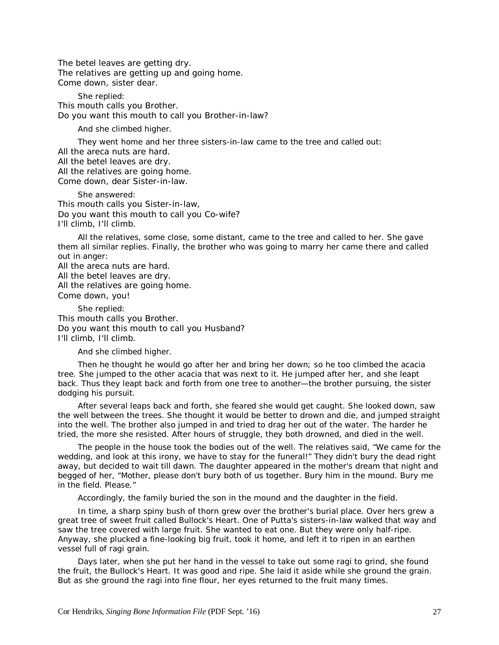*The betel leaves are getting dry. The relatives are getting up and going home. Come down, sister dear.*

She replied: *This mouth calls you Brother. Do you want this mouth to call you Brother-in-law?*

And she climbed higher.

They went home and her three sisters-in-law came to the tree and called out: *All the areca nuts are hard. All the betel leaves are dry. All the relatives are going home. Come down, dear Sister-in-law.*

She answered: *This mouth calls you Sister-in-law, Do you want this mouth to call you Co-wife? I'll climb, I'll climb.*

All the relatives, some close, some distant, came to the tree and called to her. She gave them all similar replies. Finally, the brother who was going to marry her came there and called out in anger:

*All the areca nuts are hard. All the betel leaves are dry. All the relatives are going home. Come down, you!*

She replied: *This mouth calls you Brother. Do you want this mouth to call you Husband? I'll climb, I'll climb.*

And she climbed higher.

Then he thought he would go after her and bring her down; so he too climbed the acacia tree. She jumped to the other acacia that was next to it. He jumped after her, and she leapt back. Thus they leapt back and forth from one tree to another—the brother pursuing, the sister dodging his pursuit.

After several leaps back and forth, she feared she would get caught. She looked down, saw the well between the trees. She thought it would be better to drown and die, and jumped straight into the well. The brother also jumped in and tried to drag her out of the water. The harder he tried, the more she resisted. After hours of struggle, they both drowned, and died in the well.

The people in the house took the bodies out of the well. The relatives said, "We came for the wedding, and look at this irony, we have to stay for the funeral!" They didn't bury the dead right away, but decided to wait till dawn. The daughter appeared in the mother's dream that night and begged of her, "Mother, please don't bury both of us together. Bury him in the mound. Bury me in the field. Please."

Accordingly, the family buried the son in the mound and the daughter in the field.

In time, a sharp spiny bush of thorn grew over the brother's burial place. Over hers grew a great tree of sweet fruit called Bullock's Heart. One of Putta's sisters-in-law walked that way and saw the tree covered with large fruit. She wanted to eat one. But they were only half-ripe. Anyway, she plucked a fine-looking big fruit, took it home, and left it to ripen in an earthen vessel full of *ragi* grain.

Days later, when she put her hand in the vessel to take out some *ragi* to grind, she found the fruit, the Bullock's Heart. It was good and ripe. She laid it aside while she ground the grain. But as she ground the *ragi* into fine flour, her eyes returned to the fruit many times.